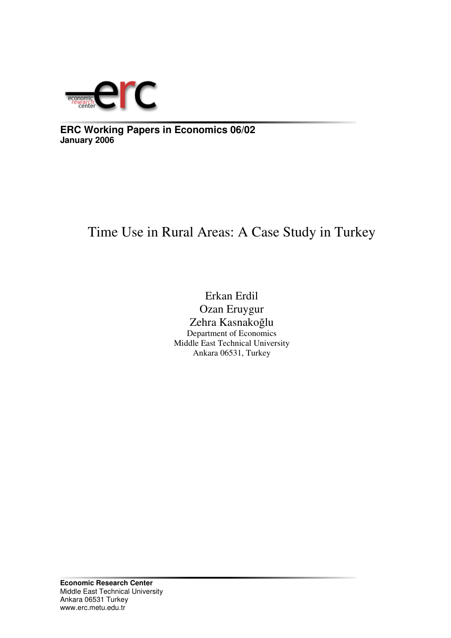

**ERC Working Papers in Economics 06/02 January 2006**

# Time Use in Rural Areas: A Case Study in Turkey

Erkan Erdil Ozan Eruygur Zehra Kasnakoğlu Department of Economics Middle East Technical University Ankara 06531, Turkey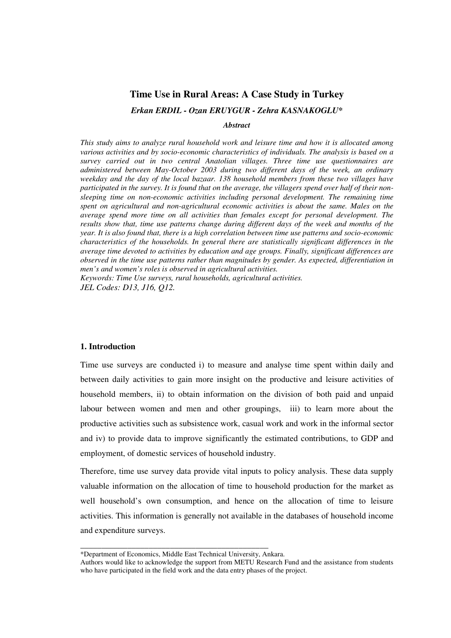## **Time Use in Rural Areas: A Case Study in Turkey**

*Erkan ERDIL - Ozan ERUYGUR - Zehra KASNAKOGLU\**

*Abstract*

*This study aims to analyze rural household work and leisure time and how it is allocated among various activities and by socio-economic characteristics of individuals. The analysis is based on a survey carried out in two central Anatolian villages. Three time use questionnaires are administered between May-October 2003 during two different days of the week, an ordinary weekday and the day of the local bazaar. 138 household members from these two villages have* participated in the survey. It is found that on the average, the villagers spend over half of their non*sleeping time on non-economic activities including personal development. The remaining time spent on agricultural and non-agricultural economic activities is about the same. Males on the average spend more time on all activities than females except for personal development. The results show that, time use patterns change during different days of the week and months of the year. It is also found that, there is a high correlation between time use patterns and socio-economic characteristics of the households. In general there are statistically significant differences in the average time devoted to activities by education and age groups. Finally, significant differences are observed in the time use patterns rather than magnitudes by gender. As expected, differentiation in men's and women's roles is observed in agricultural activities.*

*Keywords: Time Use surveys, rural households, agricultural activities. JEL Codes: D13, J16, Q12.*

## **1. Introduction**

Time use surveys are conducted i) to measure and analyse time spent within daily and between daily activities to gain more insight on the productive and leisure activities of household members, ii) to obtain information on the division of both paid and unpaid labour between women and men and other groupings, iii) to learn more about the productive activities such as subsistence work, casual work and work in the informal sector and iv) to provide data to improve significantly the estimated contributions, to GDP and employment, of domestic services of household industry.

Therefore, time use survey data provide vital inputs to policy analysis. These data supply valuable information on the allocation of time to household production for the market as well household's own consumption, and hence on the allocation of time to leisure activities. This information is generally not available in the databases of household income and expenditure surveys.

\_\_\_\_\_\_\_\_\_\_\_\_\_\_\_\_\_\_\_\_\_\_\_\_\_\_\_\_\_\_\_\_\_\_\_\_\_\_\_\_\_\_\_\_

<sup>\*</sup>Department of Economics, Middle East Technical University, Ankara.

Authors would like to acknowledge the support from METU Research Fund and the assistance from students who have participated in the field work and the data entry phases of the project.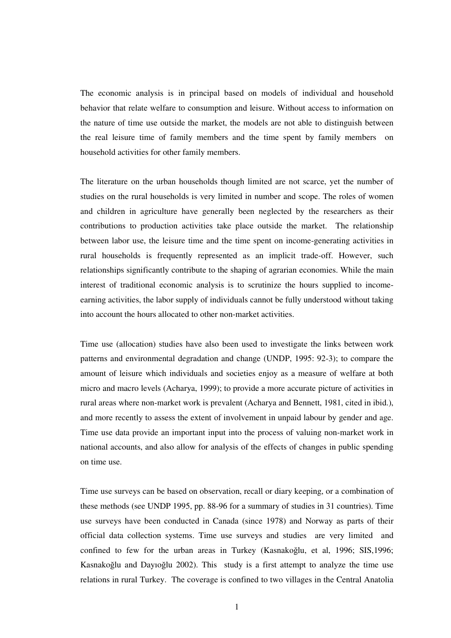The economic analysis is in principal based on models of individual and household behavior that relate welfare to consumption and leisure. Without access to information on the nature of time use outside the market, the models are not able to distinguish between the real leisure time of family members and the time spent by family members on household activities for other family members.

The literature on the urban households though limited are not scarce, yet the number of studies on the rural households is very limited in number and scope. The roles of women and children in agriculture have generally been neglected by the researchers as their contributions to production activities take place outside the market. The relationship between labor use, the leisure time and the time spent on income-generating activities in rural households is frequently represented as an implicit trade-off. However, such relationships significantly contribute to the shaping of agrarian economies. While the main interest of traditional economic analysis is to scrutinize the hours supplied to incomeearning activities, the labor supply of individuals cannot be fully understood without taking into account the hours allocated to other non-market activities.

Time use (allocation) studies have also been used to investigate the links between work patterns and environmental degradation and change (UNDP, 1995: 92-3); to compare the amount of leisure which individuals and societies enjoy as a measure of welfare at both micro and macro levels (Acharya, 1999); to provide a more accurate picture of activities in rural areas where non-market work is prevalent (Acharya and Bennett, 1981, cited in ibid.), and more recently to assess the extent of involvement in unpaid labour by gender and age. Time use data provide an important input into the process of valuing non-market work in national accounts, and also allow for analysis of the effects of changes in public spending on time use.

Time use surveys can be based on observation, recall or diary keeping, or a combination of these methods (see UNDP 1995, pp. 88-96 for a summary of studies in 31 countries). Time use surveys have been conducted in Canada (since 1978) and Norway as parts of their official data collection systems. Time use surveys and studies are very limited and confined to few for the urban areas in Turkey (Kasnakoğlu, et al, 1996; SIS,1996; Kasnakoğlu and Dayıoğlu 2002). This study is a first attempt to analyze the time use relations in rural Turkey. The coverage is confined to two villages in the Central Anatolia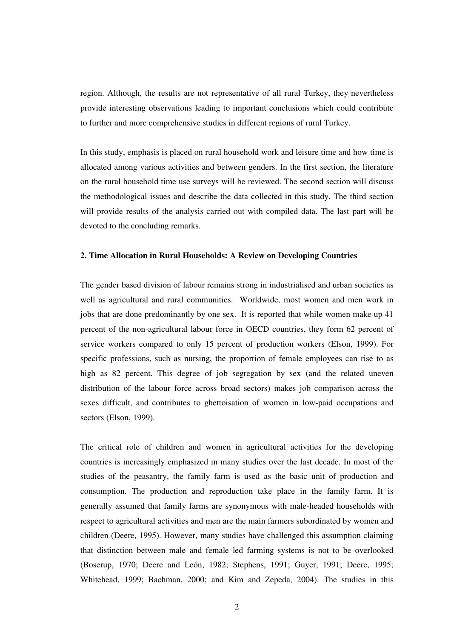region. Although, the results are not representative of all rural Turkey, they nevertheless provide interesting observations leading to important conclusions which could contribute to further and more comprehensive studies in different regions of rural Turkey.

In this study, emphasis is placed on rural household work and leisure time and how time is allocated among various activities and between genders. In the first section, the literature on the rural household time use surveys will be reviewed. The second section will discuss the methodological issues and describe the data collected in this study. The third section will provide results of the analysis carried out with compiled data. The last part will be devoted to the concluding remarks.

#### **2. Time Allocation in Rural Households: A Review on Developing Countries**

The gender based division of labour remains strong in industrialised and urban societies as well as agricultural and rural communities. Worldwide, most women and men work in jobs that are done predominantly by one sex. It is reported that while women make up 41 percent of the non-agricultural labour force in OECD countries, they form 62 percent of service workers compared to only 15 percent of production workers (Elson, 1999). For specific professions, such as nursing, the proportion of female employees can rise to as high as 82 percent. This degree of job segregation by sex (and the related uneven distribution of the labour force across broad sectors) makes job comparison across the sexes difficult, and contributes to ghettoisation of women in low-paid occupations and sectors (Elson, 1999).

The critical role of children and women in agricultural activities for the developing countries is increasingly emphasized in many studies over the last decade. In most of the studies of the peasantry, the family farm is used as the basic unit of production and consumption. The production and reproduction take place in the family farm. It is generally assumed that family farms are synonymous with male-headed households with respect to agricultural activities and men are the main farmers subordinated by women and children (Deere, 1995). However, many studies have challenged this assumption claiming that distinction between male and female led farming systems is not to be overlooked (Boserup, 1970; Deere and León, 1982; Stephens, 1991; Guyer, 1991; Deere, 1995; Whitehead, 1999; Bachman, 2000; and Kim and Zepeda, 2004). The studies in this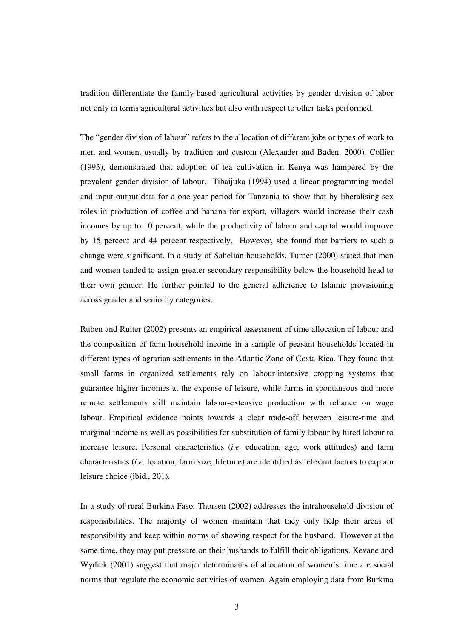tradition differentiate the family-based agricultural activities by gender division of labor not only in terms agricultural activities but also with respect to other tasks performed.

The "gender division of labour" refers to the allocation of different jobs or types of work to men and women, usually by tradition and custom (Alexander and Baden, 2000). Collier (1993), demonstrated that adoption of tea cultivation in Kenya was hampered by the prevalent gender division of labour. Tibaijuka (1994) used a linear programming model and input-output data for a one-year period for Tanzania to show that by liberalising sex roles in production of coffee and banana for export, villagers would increase their cash incomes by up to 10 percent, while the productivity of labour and capital would improve by 15 percent and 44 percent respectively. However, she found that barriers to such a change were significant. In a study of Sahelian households, Turner (2000) stated that men and women tended to assign greater secondary responsibility below the household head to their own gender. He further pointed to the general adherence to Islamic provisioning across gender and seniority categories.

Ruben and Ruiter (2002) presents an empirical assessment of time allocation of labour and the composition of farm household income in a sample of peasant households located in different types of agrarian settlements in the Atlantic Zone of Costa Rica. They found that small farms in organized settlements rely on labour-intensive cropping systems that guarantee higher incomes at the expense of leisure, while farms in spontaneous and more remote settlements still maintain labour-extensive production with reliance on wage labour. Empirical evidence points towards a clear trade-off between leisure-time and marginal income as well as possibilities for substitution of family labour by hired labour to increase leisure. Personal characteristics (*i.e.* education, age, work attitudes) and farm characteristics (*i.e.* location, farm size, lifetime) are identified as relevant factors to explain leisure choice (ibid., 201).

In a study of rural Burkina Faso, Thorsen (2002) addresses the intrahousehold division of responsibilities. The majority of women maintain that they only help their areas of responsibility and keep within norms of showing respect for the husband. However at the same time, they may put pressure on their husbands to fulfill their obligations. Kevane and Wydick (2001) suggest that major determinants of allocation of women's time are social norms that regulate the economic activities of women. Again employing data from Burkina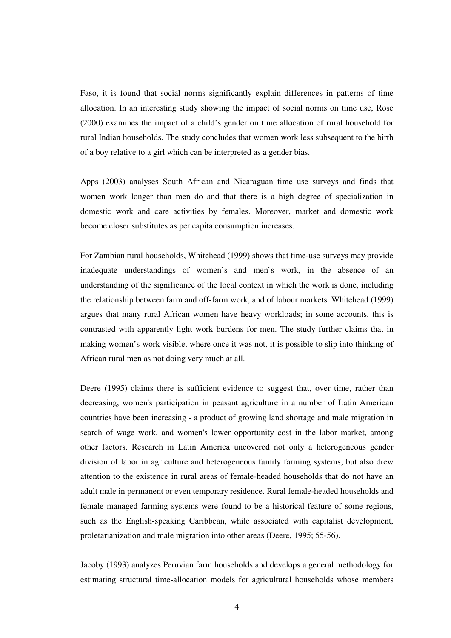Faso, it is found that social norms significantly explain differences in patterns of time allocation. In an interesting study showing the impact of social norms on time use, Rose (2000) examines the impact of a child's gender on time allocation of rural household for rural Indian households. The study concludes that women work less subsequent to the birth of a boy relative to a girl which can be interpreted as a gender bias.

Apps (2003) analyses South African and Nicaraguan time use surveys and finds that women work longer than men do and that there is a high degree of specialization in domestic work and care activities by females. Moreover, market and domestic work become closer substitutes as per capita consumption increases.

For Zambian rural households, Whitehead (1999) shows that time-use surveys may provide inadequate understandings of women`s and men`s work, in the absence of an understanding of the significance of the local context in which the work is done, including the relationship between farm and off-farm work, and of labour markets. Whitehead (1999) argues that many rural African women have heavy workloads; in some accounts, this is contrasted with apparently light work burdens for men. The study further claims that in making women's work visible, where once it was not, it is possible to slip into thinking of African rural men as not doing very much at all.

Deere (1995) claims there is sufficient evidence to suggest that, over time, rather than decreasing, women's participation in peasant agriculture in a number of Latin American countries have been increasing - a product of growing land shortage and male migration in search of wage work, and women's lower opportunity cost in the labor market, among other factors. Research in Latin America uncovered not only a heterogeneous gender division of labor in agriculture and heterogeneous family farming systems, but also drew attention to the existence in rural areas of female-headed households that do not have an adult male in permanent or even temporary residence. Rural female-headed households and female managed farming systems were found to be a historical feature of some regions, such as the English-speaking Caribbean, while associated with capitalist development, proletarianization and male migration into other areas (Deere, 1995; 55-56).

Jacoby (1993) analyzes Peruvian farm households and develops a general methodology for estimating structural time-allocation models for agricultural households whose members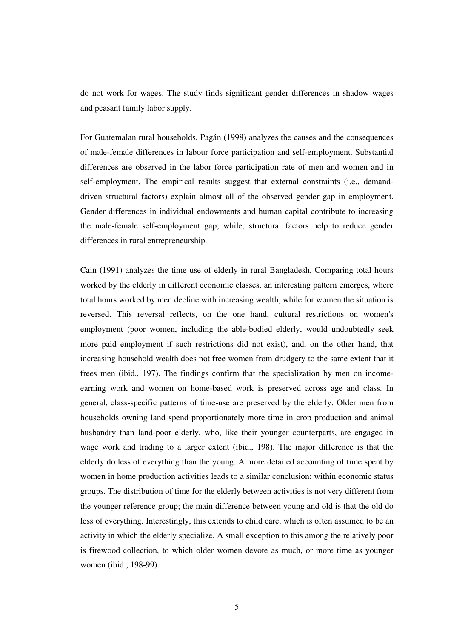do not work for wages. The study finds significant gender differences in shadow wages and peasant family labor supply.

For Guatemalan rural households, Pagán (1998) analyzes the causes and the consequences of male-female differences in labour force participation and self-employment. Substantial differences are observed in the labor force participation rate of men and women and in self-employment. The empirical results suggest that external constraints (i.e., demanddriven structural factors) explain almost all of the observed gender gap in employment. Gender differences in individual endowments and human capital contribute to increasing the male-female self-employment gap; while, structural factors help to reduce gender differences in rural entrepreneurship.

Cain (1991) analyzes the time use of elderly in rural Bangladesh. Comparing total hours worked by the elderly in different economic classes, an interesting pattern emerges, where total hours worked by men decline with increasing wealth, while for women the situation is reversed. This reversal reflects, on the one hand, cultural restrictions on women's employment (poor women, including the able-bodied elderly, would undoubtedly seek more paid employment if such restrictions did not exist), and, on the other hand, that increasing household wealth does not free women from drudgery to the same extent that it frees men (ibid., 197). The findings confirm that the specialization by men on incomeearning work and women on home-based work is preserved across age and class. In general, class-specific patterns of time-use are preserved by the elderly. Older men from households owning land spend proportionately more time in crop production and animal husbandry than land-poor elderly, who, like their younger counterparts, are engaged in wage work and trading to a larger extent (ibid., 198). The major difference is that the elderly do less of everything than the young. A more detailed accounting of time spent by women in home production activities leads to a similar conclusion: within economic status groups. The distribution of time for the elderly between activities is not very different from the younger reference group; the main difference between young and old is that the old do less of everything. Interestingly, this extends to child care, which is often assumed to be an activity in which the elderly specialize. A small exception to this among the relatively poor is firewood collection, to which older women devote as much, or more time as younger women (ibid., 198-99).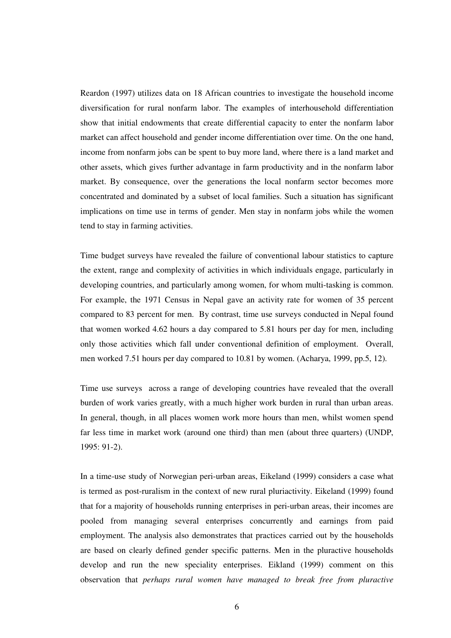Reardon (1997) utilizes data on 18 African countries to investigate the household income diversification for rural nonfarm labor. The examples of interhousehold differentiation show that initial endowments that create differential capacity to enter the nonfarm labor market can affect household and gender income differentiation over time. On the one hand, income from nonfarm jobs can be spent to buy more land, where there is a land market and other assets, which gives further advantage in farm productivity and in the nonfarm labor market. By consequence, over the generations the local nonfarm sector becomes more concentrated and dominated by a subset of local families. Such a situation has significant implications on time use in terms of gender. Men stay in nonfarm jobs while the women tend to stay in farming activities.

Time budget surveys have revealed the failure of conventional labour statistics to capture the extent, range and complexity of activities in which individuals engage, particularly in developing countries, and particularly among women, for whom multi-tasking is common. For example, the 1971 Census in Nepal gave an activity rate for women of 35 percent compared to 83 percent for men. By contrast, time use surveys conducted in Nepal found that women worked 4.62 hours a day compared to 5.81 hours per day for men, including only those activities which fall under conventional definition of employment. Overall, men worked 7.51 hours per day compared to 10.81 by women. (Acharya, 1999, pp.5, 12).

Time use surveys across a range of developing countries have revealed that the overall burden of work varies greatly, with a much higher work burden in rural than urban areas. In general, though, in all places women work more hours than men, whilst women spend far less time in market work (around one third) than men (about three quarters) (UNDP, 1995: 91-2).

In a time-use study of Norwegian peri-urban areas, Eikeland (1999) considers a case what is termed as post-ruralism in the context of new rural pluriactivity. Eikeland (1999) found that for a majority of households running enterprises in peri-urban areas, their incomes are pooled from managing several enterprises concurrently and earnings from paid employment. The analysis also demonstrates that practices carried out by the households are based on clearly defined gender specific patterns. Men in the pluractive households develop and run the new speciality enterprises. Eikland (1999) comment on this observation that *perhaps rural women have managed to break free from pluractive*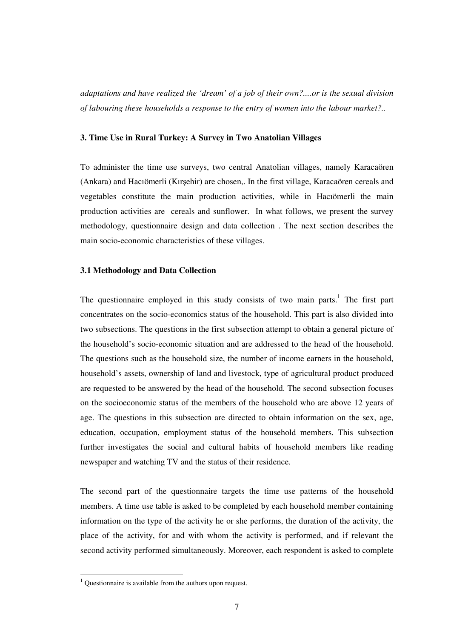*adaptations and have realized the 'dream' of a job of their own?....or is the sexual division of labouring these households a response to the entry of women into the labour market?..*

## **3. Time Use in Rural Turkey: A Survey in Two Anatolian Villages**

To administer the time use surveys, two central Anatolian villages, namely Karacaören (Ankara) and Hacıömerli (Kırşehir) are chosen,. In the first village, Karacaören cereals and vegetables constitute the main production activities, while in Hacıömerli the main production activities are cereals and sunflower. In what follows, we present the survey methodology, questionnaire design and data collection . The next section describes the main socio-economic characteristics of these villages.

## **3.1 Methodology and Data Collection**

The questionnaire employed in this study consists of two main parts.<sup>1</sup> The first part concentrates on the socio-economics status of the household. This part is also divided into two subsections. The questions in the first subsection attempt to obtain a general picture of the household's socio-economic situation and are addressed to the head of the household. The questions such as the household size, the number of income earners in the household, household's assets, ownership of land and livestock, type of agricultural product produced are requested to be answered by the head of the household. The second subsection focuses on the socioeconomic status of the members of the household who are above 12 years of age. The questions in this subsection are directed to obtain information on the sex, age, education, occupation, employment status of the household members. This subsection further investigates the social and cultural habits of household members like reading newspaper and watching TV and the status of their residence.

The second part of the questionnaire targets the time use patterns of the household members. A time use table is asked to be completed by each household member containing information on the type of the activity he or she performs, the duration of the activity, the place of the activity, for and with whom the activity is performed, and if relevant the second activity performed simultaneously. Moreover, each respondent is asked to complete

<sup>&</sup>lt;sup>1</sup> Questionnaire is available from the authors upon request.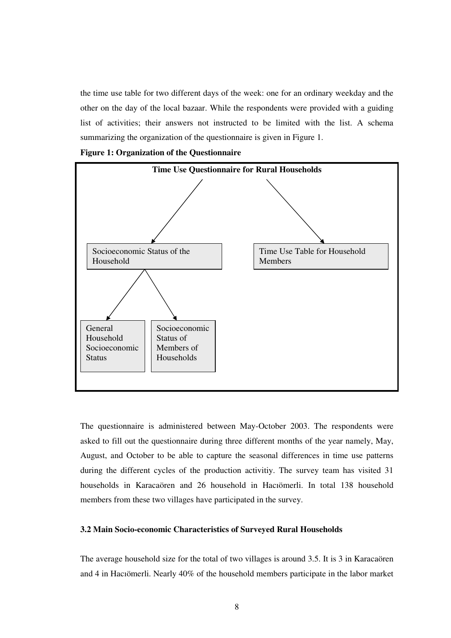the time use table for two different days of the week: one for an ordinary weekday and the other on the day of the local bazaar. While the respondents were provided with a guiding list of activities; their answers not instructed to be limited with the list. A schema summarizing the organization of the questionnaire is given in Figure 1.

**Figure 1: Organization of the Questionnaire**



The questionnaire is administered between May-October 2003. The respondents were asked to fill out the questionnaire during three different months of the year namely, May, August, and October to be able to capture the seasonal differences in time use patterns during the different cycles of the production activitiy. The survey team has visited 31 households in Karacaören and 26 household in Hacıömerli. In total 138 household members from these two villages have participated in the survey.

#### **3.2 Main Socio-economic Characteristics of Surveyed Rural Households**

The average household size for the total of two villages is around 3.5. It is 3 in Karacaören and 4 in Hacıömerli. Nearly 40% of the household members participate in the labor market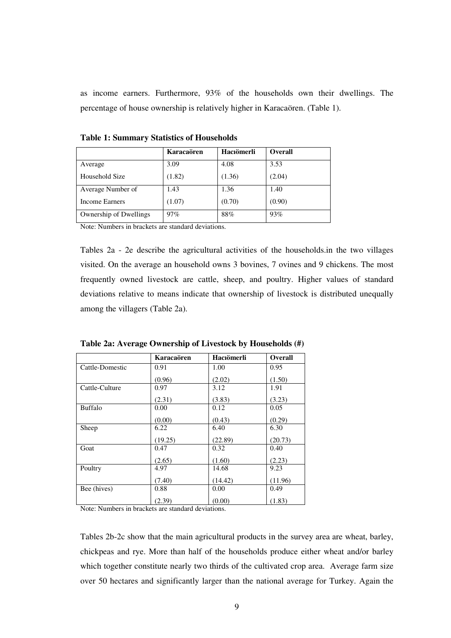as income earners. Furthermore, 93% of the households own their dwellings. The percentage of house ownership is relatively higher in Karacaören. (Table 1).

|                        | Karacaören | Hacıömerli | Overall |
|------------------------|------------|------------|---------|
| Average                | 3.09       | 4.08       | 3.53    |
| Household Size         | (1.82)     | (1.36)     | (2.04)  |
| Average Number of      | 1.43       | 1.36       | 1.40    |
| <b>Income Earners</b>  | (1.07)     | (0.70)     | (0.90)  |
| Ownership of Dwellings | 97%        | 88%        | 93%     |

**Table 1: Summary Statistics of Households**

Note: Numbers in brackets are standard deviations.

Tables 2a - 2e describe the agricultural activities of the households.in the two villages visited. On the average an household owns 3 bovines, 7 ovines and 9 chickens. The most frequently owned livestock are cattle, sheep, and poultry. Higher values of standard deviations relative to means indicate that ownership of livestock is distributed unequally among the villagers (Table 2a).

|                 | Karacaören | Hacıömerli | <b>Overall</b> |
|-----------------|------------|------------|----------------|
| Cattle-Domestic | 0.91       | 1.00       | 0.95           |
|                 | (0.96)     | (2.02)     | (1.50)         |
| Cattle-Culture  | 0.97       | 3.12       | 1.91           |
|                 | (2.31)     | (3.83)     | (3.23)         |
| <b>Buffalo</b>  | 0.00       | 0.12       | 0.05           |
|                 | (0.00)     | (0.43)     | (0.29)         |
| Sheep           | 6.22       | 6.40       | 6.30           |
|                 | (19.25)    | (22.89)    | (20.73)        |
| Goat            | 0.47       | 0.32       | 0.40           |
|                 | (2.65)     | (1.60)     | (2.23)         |
| Poultry         | 4.97       | 14.68      | 9.23           |
|                 | (7.40)     | (14.42)    | (11.96)        |
| Bee (hives)     | 0.88       | 0.00       | 0.49           |
|                 | (2.39)     | (0.00)     | (1.83)         |

**Table 2a: Average Ownership of Livestock by Households (#)**

Note: Numbers in brackets are standard deviations.

Tables 2b-2c show that the main agricultural products in the survey area are wheat, barley, chickpeas and rye. More than half of the households produce either wheat and/or barley which together constitute nearly two thirds of the cultivated crop area. Average farm size over 50 hectares and significantly larger than the national average for Turkey. Again the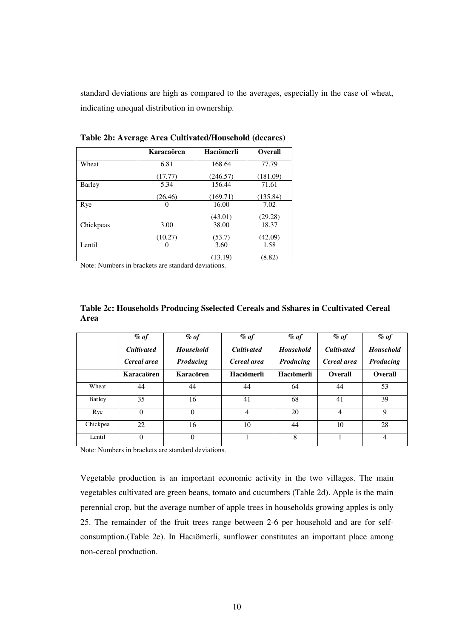standard deviations are high as compared to the averages, especially in the case of wheat, indicating unequal distribution in ownership.

|           | Karacaören | Hacıömerli | <b>Overall</b> |
|-----------|------------|------------|----------------|
| Wheat     | 6.81       | 168.64     | 77.79          |
|           | (17.77)    | (246.57)   | (181.09)       |
| Barley    | 5.34       | 156.44     | 71.61          |
|           | (26.46)    | (169.71)   | (135.84)       |
| Rye       | $\Omega$   | 16.00      | 7.02           |
|           |            | (43.01)    | (29.28)        |
| Chickpeas | 3.00       | 38.00      | 18.37          |
|           | (10.27)    | (53.7)     | (42.09)        |
| Lentil    | 0          | 3.60       | 1.58           |
|           |            | (13.19)    | (8.82)         |

**Table 2b: Average Area Cultivated/Household (decares)**

Note: Numbers in brackets are standard deviations.

| Table 2c: Households Producing Sselected Cereals and Sshares in Ccultivated Cereal |  |  |
|------------------------------------------------------------------------------------|--|--|
| Area                                                                               |  |  |

|          | $\%$ of<br><b>Cultivated</b><br>Cereal area | $\%$ of<br><b>Household</b><br>Producing | $\%$ of<br><b>Cultivated</b><br>Cereal area | $\%$ of<br><b>Household</b><br>Producing | $\%$ of<br><b>Cultivated</b><br>Cereal area | $\%$ of<br><b>Household</b><br>Producing |
|----------|---------------------------------------------|------------------------------------------|---------------------------------------------|------------------------------------------|---------------------------------------------|------------------------------------------|
|          | Karacaören                                  | Karacören                                | Hacıömerli                                  | Hacıömerli                               | <b>Overall</b>                              | <b>Overall</b>                           |
| Wheat    | 44                                          | 44                                       | 44                                          | 64                                       | 44                                          | 53                                       |
| Barley   | 35                                          | 16                                       | 41                                          | 68                                       | 41                                          | 39                                       |
| Rye      | $\Omega$                                    | $\Omega$                                 | $\overline{4}$                              | 20                                       | $\overline{4}$                              | 9                                        |
| Chickpea | 22                                          | 16                                       | 10                                          | 44                                       | 10                                          | 28                                       |
| Lentil   | $\theta$                                    | $\theta$                                 |                                             | 8                                        |                                             | $\overline{4}$                           |

Note: Numbers in brackets are standard deviations.

Vegetable production is an important economic activity in the two villages. The main vegetables cultivated are green beans, tomato and cucumbers (Table 2d). Apple is the main perennial crop, but the average number of apple trees in households growing apples is only 25. The remainder of the fruit trees range between 2-6 per household and are for selfconsumption.(Table 2e). In Hacıömerli, sunflower constitutes an important place among non-cereal production.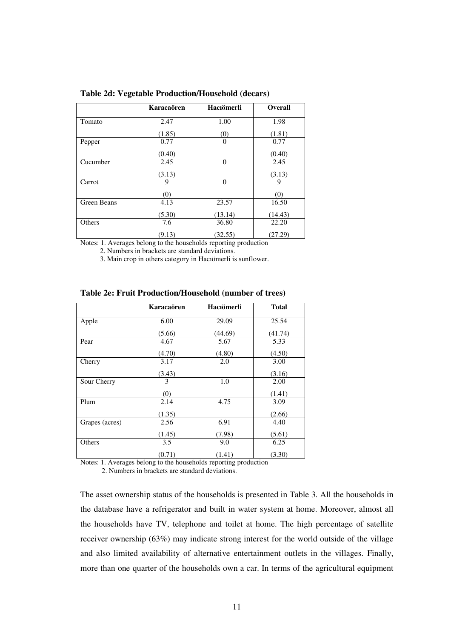|             | Karacaören | Hacıömerli | <b>Overall</b> |
|-------------|------------|------------|----------------|
| Tomato      | 2.47       | 1.00       | 1.98           |
|             | (1.85)     | (0)        | (1.81)         |
| Pepper      | 0.77       | $\Omega$   | 0.77           |
|             | (0.40)     |            | (0.40)         |
| Cucumber    | 2.45       | $\theta$   | 2.45           |
|             | (3.13)     |            | (3.13)         |
| Carrot      | 9          | $\theta$   | 9              |
|             | (0)        |            | (0)            |
| Green Beans | 4.13       | 23.57      | 16.50          |
|             | (5.30)     | (13.14)    | (14.43)        |
| Others      | 7.6        | 36.80      | 22.20          |
|             | (9.13)     | (32.55)    | (27.29)        |

**Table 2d: Vegetable Production/Household (decars)**

Notes: 1. Averages belong to the households reporting production

2. Numbers in brackets are standard deviations.

3. Main crop in others category in Hacıömerli is sunflower.

|                | Karacaören | Hacıömerli | <b>Total</b> |
|----------------|------------|------------|--------------|
| Apple          | 6.00       | 29.09      | 25.54        |
|                | (5.66)     | (44.69)    | (41.74)      |
| Pear           | 4.67       | 5.67       | 5.33         |
|                | (4.70)     | (4.80)     | (4.50)       |
| Cherry         | 3.17       | 2.0        | 3.00         |
|                | (3.43)     |            | (3.16)       |
| Sour Cherry    | 3          | 1.0        | 2.00         |
|                | (0)        |            | (1.41)       |
| Plum           | 2.14       | 4.75       | 3.09         |
|                | (1.35)     |            | (2.66)       |
| Grapes (acres) | 2.56       | 6.91       | 4.40         |
|                | (1.45)     | (7.98)     | (5.61)       |
| Others         | 3.5        | 9.0        | 6.25         |
|                | (0.71)     | (1.41)     | (3.30)       |

**Table 2e: Fruit Production/Household (number of trees)**

Notes: 1. Averages belong to the households reporting production

2. Numbers in brackets are standard deviations.

The asset ownership status of the households is presented in Table 3. All the households in the database have a refrigerator and built in water system at home. Moreover, almost all the households have TV, telephone and toilet at home. The high percentage of satellite receiver ownership (63%) may indicate strong interest for the world outside of the village and also limited availability of alternative entertainment outlets in the villages. Finally, more than one quarter of the households own a car. In terms of the agricultural equipment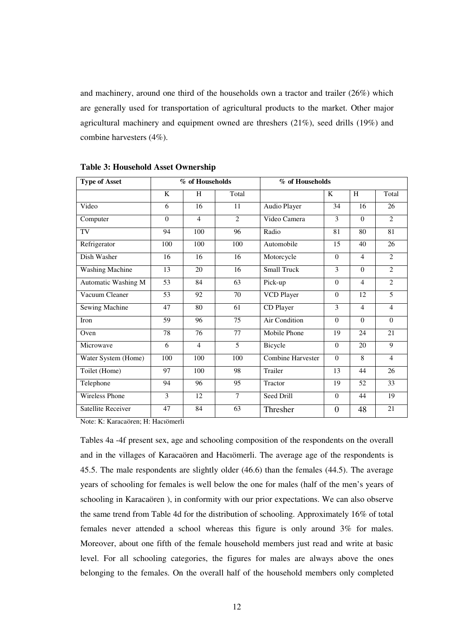and machinery, around one third of the households own a tractor and trailer (26%) which are generally used for transportation of agricultural products to the market. Other major agricultural machinery and equipment owned are threshers (21%), seed drills (19%) and combine harvesters (4%).

| <b>Type of Asset</b>      | % of Households |                |                | % of Households          |          |                |                |
|---------------------------|-----------------|----------------|----------------|--------------------------|----------|----------------|----------------|
|                           | K               | H              | Total          |                          | K        | H              | Total          |
| Video                     | 6               | 16             | 11             | Audio Player             | 34       | 16             | 26             |
| Computer                  | $\theta$        | $\overline{4}$ | $\overline{2}$ | Video Camera             | 3        | $\theta$       | $\mathcal{L}$  |
| TV                        | 94              | 100            | 96             | Radio                    | 81       | 80             | 81             |
| Refrigerator              | 100             | 100            | 100            | Automobile               | 15       | 40             | 26             |
| Dish Washer               | 16              | 16             | 16             | Motorcycle               | $\theta$ | $\overline{4}$ | 2              |
| <b>Washing Machine</b>    | 13              | 20             | 16             | <b>Small Truck</b>       | 3        | $\Omega$       | $\overline{2}$ |
| Automatic Washing M       | 53              | 84             | 63             | Pick-up                  | $\Omega$ | $\overline{4}$ | $\overline{2}$ |
| Vacuum Cleaner            | 53              | 92             | 70             | <b>VCD Player</b>        | $\theta$ | 12             | 5              |
| Sewing Machine            | 47              | 80             | 61             | CD Player                | 3        | 4              | $\overline{4}$ |
| Iron                      | 59              | 96             | 75             | Air Condition            | $\Omega$ | $\Omega$       | $\Omega$       |
| Oven                      | 78              | 76             | 77             | Mobile Phone             | 19       | 24             | 21             |
| Microwave                 | 6               | $\overline{4}$ | 5              | Bicycle                  | $\Omega$ | 20             | 9              |
| Water System (Home)       | 100             | 100            | 100            | <b>Combine Harvester</b> | $\Omega$ | 8              | $\overline{4}$ |
| Toilet (Home)             | 97              | 100            | 98             | Trailer                  | 13       | 44             | 26             |
| Telephone                 | 94              | 96             | 95             | Tractor                  | 19       | 52             | 33             |
| <b>Wireless Phone</b>     | 3               | 12             | 7              | Seed Drill               | $\Omega$ | 44             | 19             |
| <b>Satellite Receiver</b> | 47              | 84             | 63             | Thresher                 | $\theta$ | 48             | 21             |

**Table 3: Household Asset Ownership**

Note: K: Karacaören; H: Hacıömerli

Tables 4a -4f present sex, age and schooling composition of the respondents on the overall and in the villages of Karacaören and Hacıömerli. The average age of the respondents is 45.5. The male respondents are slightly older (46.6) than the females (44.5). The average years of schooling for females is well below the one for males (half of the men's years of schooling in Karacaören ), in conformity with our prior expectations. We can also observe the same trend from Table 4d for the distribution of schooling. Approximately 16% of total females never attended a school whereas this figure is only around 3% for males. Moreover, about one fifth of the female household members just read and write at basic level. For all schooling categories, the figures for males are always above the ones belonging to the females. On the overall half of the household members only completed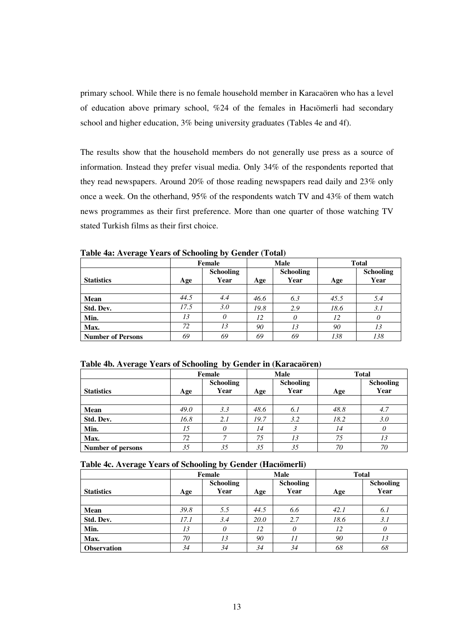primary school. While there is no female household member in Karacaören who has a level of education above primary school, %24 of the females in Hacıömerli had secondary school and higher education, 3% being university graduates (Tables 4e and 4f).

The results show that the household members do not generally use press as a source of information. Instead they prefer visual media. Only 34% of the respondents reported that they read newspapers. Around 20% of those reading newspapers read daily and 23% only once a week. On the otherhand, 95% of the respondents watch TV and 43% of them watch news programmes as their first preference. More than one quarter of those watching TV stated Turkish films as their first choice.

|                          |      | Female                   |      | <b>Male</b>              | <b>Total</b> |                          |
|--------------------------|------|--------------------------|------|--------------------------|--------------|--------------------------|
| <b>Statistics</b>        | Age  | <b>Schooling</b><br>Year | Age  | <b>Schooling</b><br>Year | Age          | <b>Schooling</b><br>Year |
|                          |      |                          |      |                          |              |                          |
| <b>Mean</b>              | 44.5 | 4.4                      | 46.6 | 6.3                      | 45.5         | 5.4                      |
| Std. Dev.                | 17.5 | 3.0                      | 19.8 | 2.9                      | 18.6         | 3.1                      |
| Min.                     | 13   | 0                        | 12   | $\theta$                 | 12           | 0                        |
| Max.                     | 72   | 13                       | 90   | 13                       | 90           | 13                       |
| <b>Number of Persons</b> | 69   | 69                       | 69   | 69                       | 138          | 138                      |

**Table 4a: Average Years of Schooling by Gender (Total)**

|                          |      | Female                   | <b>Male</b> |                          | <b>Total</b> |                          |
|--------------------------|------|--------------------------|-------------|--------------------------|--------------|--------------------------|
| <b>Statistics</b>        | Age  | <b>Schooling</b><br>Year | Age         | <b>Schooling</b><br>Year | Age          | <b>Schooling</b><br>Year |
|                          |      |                          |             |                          |              |                          |
| Mean                     | 49.0 | 3.3                      | 48.6        | 6.1                      | 48.8         | 4.7                      |
| Std. Dev.                | 16.8 | 2.1                      | 19.7        | 3.2                      | 18.2         | 3.0                      |
| Min.                     | 15   | 0                        | 14          |                          | 14           | 0                        |
| Max.                     | 72   |                          | 75          | 13                       | 75           | 13                       |
| <b>Number of persons</b> | 35   | 35                       | 35          | 35                       | 70           | 70                       |

|                    |      | Female                   |                                 | <b>Male</b> | <b>Total</b> |                          |  |  |
|--------------------|------|--------------------------|---------------------------------|-------------|--------------|--------------------------|--|--|
| <b>Statistics</b>  | Age  | <b>Schooling</b><br>Year | <b>Schooling</b><br>Year<br>Age |             | Age          | <b>Schooling</b><br>Year |  |  |
|                    |      |                          |                                 |             |              |                          |  |  |
| <b>Mean</b>        | 39.8 | 5.5                      | 44.5                            | 6.6         | 42.1         | 6.1                      |  |  |
| Std. Dev.          | 17.1 | 3.4                      | 20.0                            | 2.7         | 18.6         | 3.1                      |  |  |
| Min.               | 13   |                          | 12                              |             | 12           | 0                        |  |  |
| Max.               | 70   | 13                       | 90                              | 11          | 90           | 13                       |  |  |
| <b>Observation</b> | 34   | 34                       | 34                              | 34          | 68           | 68                       |  |  |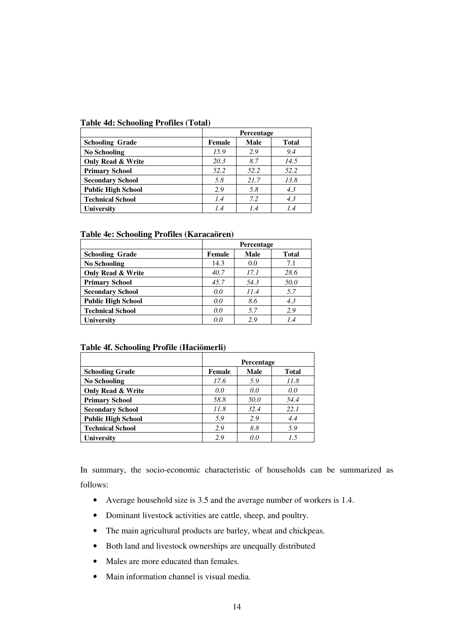|  | <b>Table 4d: Schooling Profiles (Total)</b> |  |
|--|---------------------------------------------|--|
|  |                                             |  |

|                              | <b>Percentage</b> |             |              |  |  |  |  |  |  |
|------------------------------|-------------------|-------------|--------------|--|--|--|--|--|--|
| <b>Schooling Grade</b>       | Female            | <b>Male</b> | <b>Total</b> |  |  |  |  |  |  |
| <b>No Schooling</b>          | 15.9              | 2.9         | 9.4          |  |  |  |  |  |  |
| <b>Only Read &amp; Write</b> | 20.3              | 8.7         | 14.5         |  |  |  |  |  |  |
| <b>Primary School</b>        | 52.2              | 52.2        | 52.2         |  |  |  |  |  |  |
| <b>Secondary School</b>      | 5.8               | 21.7        | 13.8         |  |  |  |  |  |  |
| <b>Public High School</b>    | 2.9               | 5.8         | 4.3          |  |  |  |  |  |  |
| <b>Technical School</b>      | 1.4               | 7.2         | 4.3          |  |  |  |  |  |  |
| <b>University</b>            | 1.4               | 1.4         | 1.4          |  |  |  |  |  |  |

## **Table 4e: Schooling Profiles (Karacaören)**

|                              | <b>Percentage</b> |      |              |  |  |  |  |  |  |
|------------------------------|-------------------|------|--------------|--|--|--|--|--|--|
| <b>Schooling Grade</b>       | Female            | Male | <b>Total</b> |  |  |  |  |  |  |
| <b>No Schooling</b>          | 14.3              | 0.0  | 7.1          |  |  |  |  |  |  |
| <b>Only Read &amp; Write</b> | 40.7              | 17.1 | 28.6         |  |  |  |  |  |  |
| <b>Primary School</b>        | 45.7              | 54.3 | 50.0         |  |  |  |  |  |  |
| <b>Secondary School</b>      | 0.0               | 11.4 | 5.7          |  |  |  |  |  |  |
| <b>Public High School</b>    | 0.0               | 8.6  | 4.3          |  |  |  |  |  |  |
| <b>Technical School</b>      | 0.0               | 5.7  | 2.9          |  |  |  |  |  |  |
| <b>University</b>            | 0.0               | 2.9  | 1.4          |  |  |  |  |  |  |

# **Table 4f. Schooling Profile (Haciömerli)**

|                              | <b>Percentage</b> |      |              |  |  |  |  |  |  |
|------------------------------|-------------------|------|--------------|--|--|--|--|--|--|
| <b>Schooling Grade</b>       | Female            | Male | <b>Total</b> |  |  |  |  |  |  |
| No Schooling                 | 17.6              | 5.9  | 11.8         |  |  |  |  |  |  |
| <b>Only Read &amp; Write</b> | 0.0               | 0.0  | 0.0          |  |  |  |  |  |  |
| <b>Primary School</b>        | 58.8              | 50.0 | 54.4         |  |  |  |  |  |  |
| <b>Secondary School</b>      | 11.8              | 32.4 | 22.1         |  |  |  |  |  |  |
| <b>Public High School</b>    | 5.9               | 2.9  | 4.4          |  |  |  |  |  |  |
| <b>Technical School</b>      | 2.9               | 8.8  | 5.9          |  |  |  |  |  |  |
| <b>University</b>            | 2.9               | 0.0  | 1.5          |  |  |  |  |  |  |

In summary, the socio-economic characteristic of households can be summarized as follows:

- Average household size is 3.5 and the average number of workers is 1.4.
- Dominant livestock activities are cattle, sheep, and poultry.
- The main agricultural products are barley, wheat and chickpeas.
- Both land and livestock ownerships are unequally distributed
- Males are more educated than females.
- Main information channel is visual media.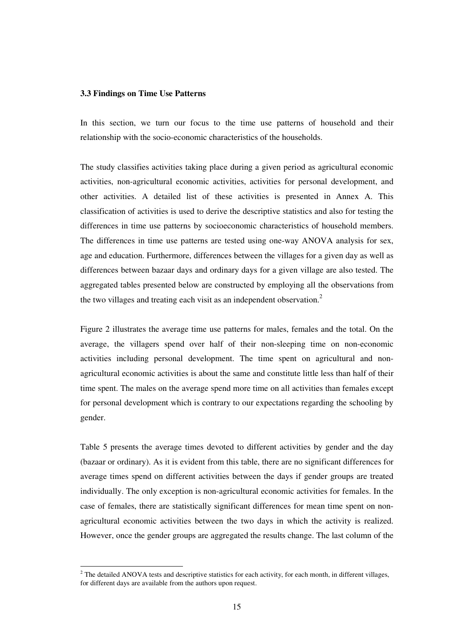#### **3.3 Findings on Time Use Patterns**

In this section, we turn our focus to the time use patterns of household and their relationship with the socio-economic characteristics of the households.

The study classifies activities taking place during a given period as agricultural economic activities, non-agricultural economic activities, activities for personal development, and other activities. A detailed list of these activities is presented in Annex A. This classification of activities is used to derive the descriptive statistics and also for testing the differences in time use patterns by socioeconomic characteristics of household members. The differences in time use patterns are tested using one-way ANOVA analysis for sex, age and education. Furthermore, differences between the villages for a given day as well as differences between bazaar days and ordinary days for a given village are also tested. The aggregated tables presented below are constructed by employing all the observations from the two villages and treating each visit as an independent observation.<sup>2</sup>

Figure 2 illustrates the average time use patterns for males, females and the total. On the average, the villagers spend over half of their non-sleeping time on non-economic activities including personal development. The time spent on agricultural and nonagricultural economic activities is about the same and constitute little less than half of their time spent. The males on the average spend more time on all activities than females except for personal development which is contrary to our expectations regarding the schooling by gender.

Table 5 presents the average times devoted to different activities by gender and the day (bazaar or ordinary). As it is evident from this table, there are no significant differences for average times spend on different activities between the days if gender groups are treated individually. The only exception is non-agricultural economic activities for females. In the case of females, there are statistically significant differences for mean time spent on nonagricultural economic activities between the two days in which the activity is realized. However, once the gender groups are aggregated the results change. The last column of the

 $2^2$  The detailed ANOVA tests and descriptive statistics for each activity, for each month, in different villages, for different days are available from the authors upon request.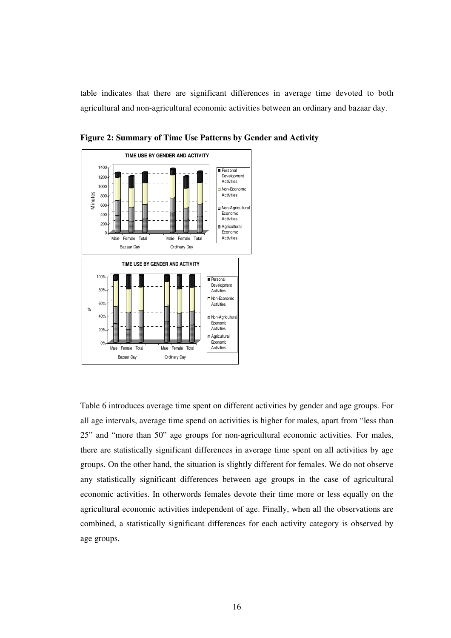table indicates that there are significant differences in average time devoted to both agricultural and non-agricultural economic activities between an ordinary and bazaar day.





Table 6 introduces average time spent on different activities by gender and age groups. For all age intervals, average time spend on activities is higher for males, apart from "less than 25" and "more than 50" age groups for non-agricultural economic activities. For males, there are statistically significant differences in average time spent on all activities by age groups. On the other hand, the situation is slightly different for females. We do not observe any statistically significant differences between age groups in the case of agricultural economic activities. In otherwords females devote their time more or less equally on the agricultural economic activities independent of age. Finally, when all the observations are combined, a statistically significant differences for each activity category is observed by age groups.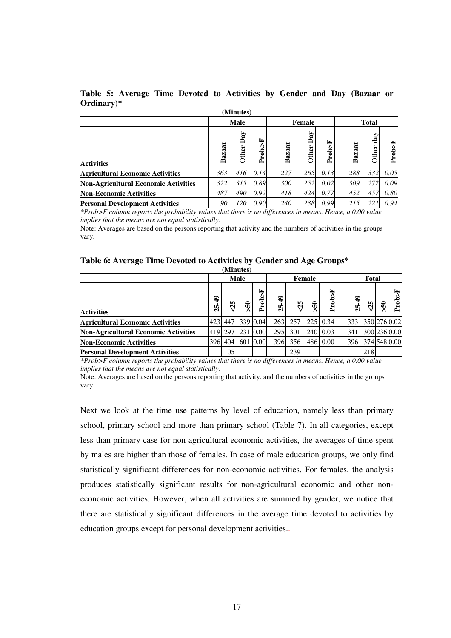| (Minutes)                                   |        |                     |            |        |                     |            |              |             |            |  |  |  |
|---------------------------------------------|--------|---------------------|------------|--------|---------------------|------------|--------------|-------------|------------|--|--|--|
|                                             |        | Male                |            |        | <b>Female</b>       |            | <b>Total</b> |             |            |  |  |  |
| <b>Activities</b>                           | Bazaar | Day<br><b>Other</b> | ⋤<br>Prob. | Bazaar | Day<br><b>Other</b> | 国<br>Prob> | aar<br>Baz   | day<br>ther | Fob>F<br>≏ |  |  |  |
| <b>Agricultural Economic Activities</b>     | 363    | 416                 | 0.14       | 227    | 265                 | 0.13       | 288          | 332         | 0.05       |  |  |  |
| <b>Non-Agricultural Economic Activities</b> | 322    | 315                 | 0.89       | 300    | 252                 | 0.02       | 309          | 272         | 0.09       |  |  |  |
| <b>Non-Economic Activities</b>              | 487    | 490                 | 0.92       | 418    | 424                 | 0.77       | 452          | 457         | 0.80       |  |  |  |
| <b>Personal Development Activities</b>      | 90     | 120                 | 0.90       | 240    | 238                 | 0.99       | 215          | 22.         | 0.94       |  |  |  |

**Table 5: Average Time Devoted to Activities by Gender and Day (Bazaar or Ordinary)\***

*\*Prob>F column reports the probability values that there is no differences in means. Hence, a 0.00 value implies that the means are not equal statistically.*

Note: Averages are based on the persons reporting that activity and the numbers of activities in the groups vary.

| Table 6: Average Time Devoted to Activities by Gender and Age Groups* |  |  |  |
|-----------------------------------------------------------------------|--|--|--|
|-----------------------------------------------------------------------|--|--|--|

| (Minutes)                                   |             |         |                |          |  |                  |     |                 |                 |  |                   |           |     |              |
|---------------------------------------------|-------------|---------|----------------|----------|--|------------------|-----|-----------------|-----------------|--|-------------------|-----------|-----|--------------|
|                                             |             |         | <b>Male</b>    |          |  | Female           |     |                 |                 |  | <b>Total</b>      |           |     |              |
| <b>Activities</b>                           | ੩<br>5<br>N | 35      | $\overline{5}$ | Prob>F   |  | $\ddot{ }$<br>2Ś | 25  | $\overline{50}$ | Prob>F          |  | $\clubsuit$<br>25 | ın,<br>L) | ິຈິ | Prob>F       |
| <b>Agricultural Economic Activities</b>     |             | 423 447 |                | 339 0.04 |  | 263              | 257 |                 | $225 \mid 0.34$ |  | 333               |           |     | 350 276 0.02 |
| <b>Non-Agricultural Economic Activities</b> |             | 419 297 |                | 231 0.00 |  | 295              | 301 |                 | 240 0.03        |  | 341               |           |     | 300 236 0.00 |
| <b>Non-Economic Activities</b>              |             | 396 404 |                | 601 0.00 |  | 396              | 356 |                 | 486 0.00        |  | 396               |           |     | 374 548 0.00 |
| <b>Personal Development Activities</b>      |             | 105     |                |          |  |                  | 239 |                 |                 |  |                   | 218       |     |              |

*\*Prob>F column reports the probability values that there is no differences in means. Hence, a 0.00 value implies that the means are not equal statistically.*

Note: Averages are based on the persons reporting that activity. and the numbers of activities in the groups vary.

Next we look at the time use patterns by level of education, namely less than primary school, primary school and more than primary school (Table 7). In all categories, except less than primary case for non agricultural economic activities, the averages of time spent by males are higher than those of females. In case of male education groups, we only find statistically significant differences for non-economic activities. For females, the analysis produces statistically significant results for non-agricultural economic and other noneconomic activities. However, when all activities are summed by gender, we notice that there are statistically significant differences in the average time devoted to activities by education groups except for personal development activities..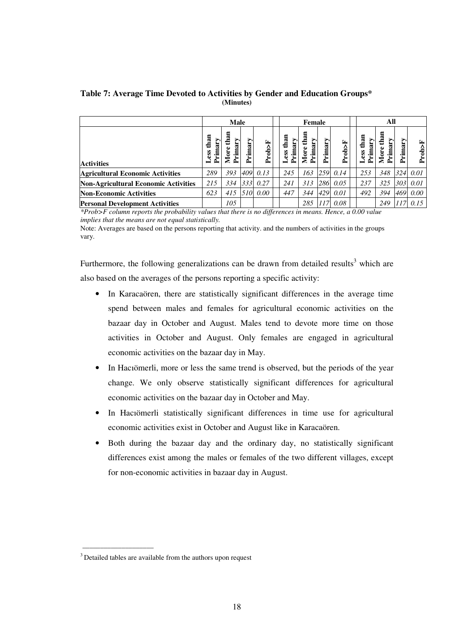**Table 7: Average Time Devoted to Activities by Gender and Education Groups\* (Minutes)**

|                                         | <b>Male</b>          |                |                  |          |  | <b>Female</b>          |                         |        |            |  | All                     |                            |         |        |  |
|-----------------------------------------|----------------------|----------------|------------------|----------|--|------------------------|-------------------------|--------|------------|--|-------------------------|----------------------------|---------|--------|--|
| <b>Activities</b>                       | than<br>$\mathbf{r}$ | ā<br>rima<br>έ | ><br>rimar;<br>≏ | Prob>F   |  | than<br>Primary<br>ess | than<br>Primary<br>More | rimary | Fob>F<br>≏ |  | than<br>imar<br>SS<br>≏ | han<br>><br>rima<br>ω<br>ā | Primary | Prob>F |  |
| <b>Agricultural Economic Activities</b> | 289                  | 393            |                  | 409 0.13 |  | 245                    | 163                     |        | 259 0.14   |  | 253                     | 348                        | 324     | 0.01   |  |
| Non-Agricultural Economic Activities    | 215                  | 334            | 333              | 0.27     |  | 241                    | 313                     | 286    | 0.05       |  | 237                     | 325                        | 303     | 0.01   |  |
| <b>Non-Economic Activities</b>          | 623                  | 415            | 510              | 0.00     |  | 447                    | 344                     | 429    | 0.01       |  | 492                     | 394                        | 469     | 0.00   |  |
| <b>Personal Development Activities</b>  |                      | 105            |                  |          |  |                        | 285                     | 117    | 0.08       |  |                         | 249                        |         | 0.15   |  |

*\*Prob>F column reports the probability values that there is no differences in means. Hence, a 0.00 value implies that the means are not equal statistically.*

Note: Averages are based on the persons reporting that activity. and the numbers of activities in the groups vary.

Furthermore, the following generalizations can be drawn from detailed results<sup>3</sup> which are also based on the averages of the persons reporting a specific activity:

- In Karacaören, there are statistically significant differences in the average time spend between males and females for agricultural economic activities on the bazaar day in October and August. Males tend to devote more time on those activities in October and August. Only females are engaged in agricultural economic activities on the bazaar day in May.
- In Haciömerli, more or less the same trend is observed, but the periods of the year change. We only observe statistically significant differences for agricultural economic activities on the bazaar day in October and May.
- In Hacıömerli statistically significant differences in time use for agricultural economic activities exist in October and August like in Karacaören.
- Both during the bazaar day and the ordinary day, no statistically significant differences exist among the males or females of the two different villages, except for non-economic activities in bazaar day in August.

\_\_\_\_\_\_\_\_\_\_\_\_\_\_\_\_\_\_\_\_

<sup>&</sup>lt;sup>3</sup> Detailed tables are available from the authors upon request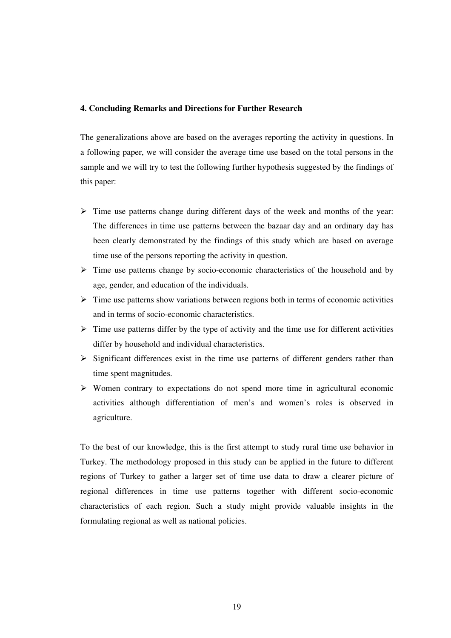### **4. Concluding Remarks and Directions for Further Research**

The generalizations above are based on the averages reporting the activity in questions. In a following paper, we will consider the average time use based on the total persons in the sample and we will try to test the following further hypothesis suggested by the findings of this paper:

- $\triangleright$  Time use patterns change during different days of the week and months of the year: The differences in time use patterns between the bazaar day and an ordinary day has been clearly demonstrated by the findings of this study which are based on average time use of the persons reporting the activity in question.
- $\triangleright$  Time use patterns change by socio-economic characteristics of the household and by age, gender, and education of the individuals.
- $\triangleright$  Time use patterns show variations between regions both in terms of economic activities and in terms of socio-economic characteristics.
- $\triangleright$  Time use patterns differ by the type of activity and the time use for different activities differ by household and individual characteristics.
- $\triangleright$  Significant differences exist in the time use patterns of different genders rather than time spent magnitudes.
- $\triangleright$  Women contrary to expectations do not spend more time in agricultural economic activities although differentiation of men's and women's roles is observed in agriculture.

To the best of our knowledge, this is the first attempt to study rural time use behavior in Turkey. The methodology proposed in this study can be applied in the future to different regions of Turkey to gather a larger set of time use data to draw a clearer picture of regional differences in time use patterns together with different socio-economic characteristics of each region. Such a study might provide valuable insights in the formulating regional as well as national policies.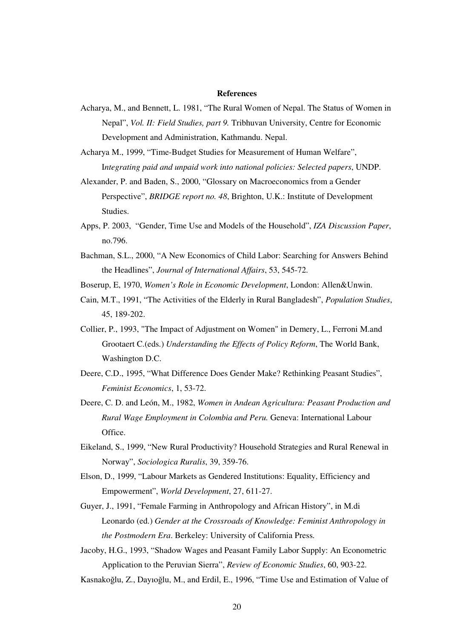#### **References**

- Acharya, M., and Bennett, L. 1981, "The Rural Women of Nepal. The Status of Women in Nepal", *Vol. II: Field Studies, part 9.* Tribhuvan University, Centre for Economic Development and Administration, Kathmandu. Nepal.
- Acharya M., 1999, "Time-Budget Studies for Measurement of Human Welfare", I*ntegrating paid and unpaid work into national policies: Selected papers*, UNDP.
- Alexander, P. and Baden, S., 2000, "Glossary on Macroeconomics from a Gender Perspective", *BRIDGE report no. 48*, Brighton, U.K.: Institute of Development Studies.
- Apps, P. 2003, "Gender, Time Use and Models of the Household", *IZA Discussion Paper*, no.796.
- Bachman, S.L., 2000, "A New Economics of Child Labor: Searching for Answers Behind the Headlines", *Journal of International Affairs*, 53, 545-72.
- Boserup, E, 1970, *Women's Role in Economic Development*, London: Allen&Unwin.
- Cain, M.T., 1991, "The Activities of the Elderly in Rural Bangladesh", *Population Studies*, 45, 189-202.
- Collier, P., 1993, "The Impact of Adjustment on Women" in Demery, L., Ferroni M.and Grootaert C.(eds.) *Understanding the Effects of Policy Reform*, The World Bank, Washington D.C.
- Deere, C.D., 1995, "What Difference Does Gender Make? Rethinking Peasant Studies", *Feminist Economics*, 1, 53-72.
- Deere, C. D. and León, M., 1982, *Women in Andean Agricultura: Peasant Production and Rural Wage Employment in Colombia and Peru.* Geneva: International Labour Office.
- Eikeland, S., 1999, "New Rural Productivity? Household Strategies and Rural Renewal in Norway", *Sociologica Ruralis*, 39, 359-76.
- Elson, D., 1999, "Labour Markets as Gendered Institutions: Equality, Efficiency and Empowerment", *World Development*, 27, 611-27.
- Guyer, J., 1991, "Female Farming in Anthropology and African History", in M.di Leonardo (ed.) *Gender at the Crossroads of Knowledge: Feminist Anthropology in the Postmodern Era*. Berkeley: University of California Press.
- Jacoby, H.G., 1993, "Shadow Wages and Peasant Family Labor Supply: An Econometric Application to the Peruvian Sierra", *Review of Economic Studies*, 60, 903-22.

Kasnakoğlu, Z., Dayıoğlu, M., and Erdil, E., 1996, "Time Use and Estimation of Value of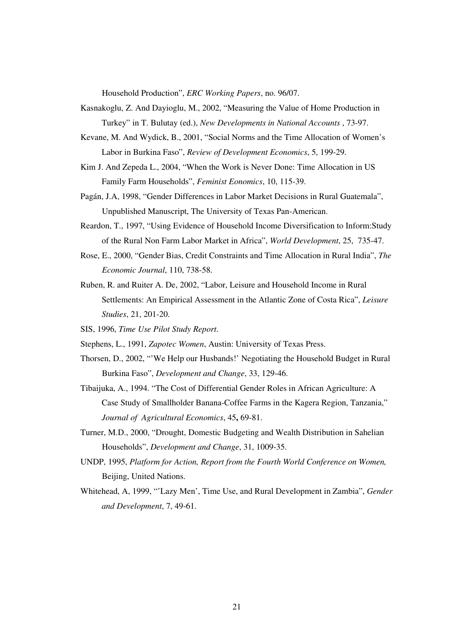Household Production", *ERC Working Papers*, no. 96/07.

- Kasnakoglu, Z. And Dayioglu, M., 2002, "Measuring the Value of Home Production in Turkey" in T. Bulutay (ed.), *New Developments in National Accounts* , 73-97.
- Kevane, M. And Wydick, B., 2001, "Social Norms and the Time Allocation of Women's Labor in Burkina Faso", *Review of Development Economics*, 5, 199-29.
- Kim J. And Zepeda L., 2004, "When the Work is Never Done: Time Allocation in US Family Farm Households", *Feminist Eonomics*, 10, 115-39.
- Pagán, J.A, 1998, "Gender Differences in Labor Market Decisions in Rural Guatemala", Unpublished Manuscript, The University of Texas Pan-American.
- Reardon, T., 1997, "Using Evidence of Household Income Diversification to Inform:Study of the Rural Non Farm Labor Market in Africa", *World Development*, 25, 735-47.
- Rose, E., 2000, "Gender Bias, Credit Constraints and Time Allocation in Rural India", *The Economic Journal*, 110, 738-58.
- Ruben, R. and Ruiter A. De, 2002, "Labor, Leisure and Household Income in Rural Settlements: An Empirical Assessment in the Atlantic Zone of Costa Rica", *Leisure Studies*, 21, 201-20.
- SIS, 1996, *Time Use Pilot Study Report*.
- Stephens, L., 1991, *Zapotec Women*, Austin: University of Texas Press.
- Thorsen, D., 2002, "'We Help our Husbands!' Negotiating the Household Budget in Rural Burkina Faso", *Development and Change*, 33, 129-46.
- Tibaijuka, A., 1994. "The Cost of Differential Gender Roles in African Agriculture: A Case Study of Smallholder Banana-Coffee Farms in the Kagera Region, Tanzania," *Journal of Agricultural Economics*, 45**,** 69-81.
- Turner, M.D., 2000, "Drought, Domestic Budgeting and Wealth Distribution in Sahelian Households", *Development and Change*, 31, 1009-35.
- UNDP, 1995, *Platform for Action, Report from the Fourth World Conference on Women,* Beijing, United Nations.
- Whitehead, A, 1999, "'Lazy Men', Time Use, and Rural Development in Zambia", *Gender and Development*, 7, 49-61.